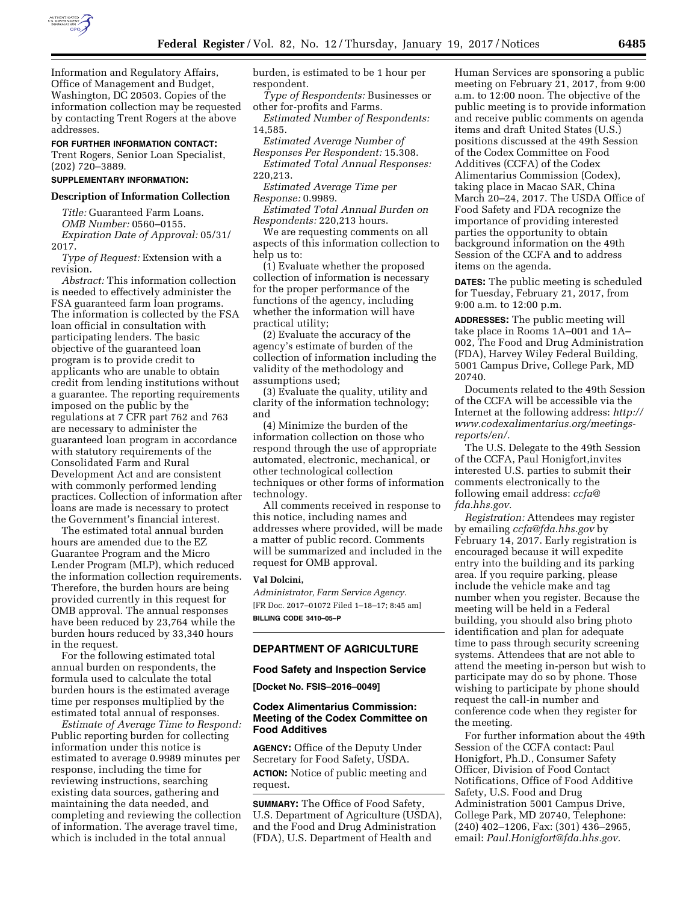

Information and Regulatory Affairs, Office of Management and Budget, Washington, DC 20503. Copies of the information collection may be requested by contacting Trent Rogers at the above addresses.

**FOR FURTHER INFORMATION CONTACT:** 

Trent Rogers, Senior Loan Specialist, (202) 720–3889.

## **SUPPLEMENTARY INFORMATION:**

#### **Description of Information Collection**

*Title:* Guaranteed Farm Loans. *OMB Number:* 0560–0155. *Expiration Date of Approval:* 05/31/ 2017.

*Type of Request:* Extension with a revision.

*Abstract:* This information collection is needed to effectively administer the FSA guaranteed farm loan programs. The information is collected by the FSA loan official in consultation with participating lenders. The basic objective of the guaranteed loan program is to provide credit to applicants who are unable to obtain credit from lending institutions without a guarantee. The reporting requirements imposed on the public by the regulations at 7 CFR part 762 and 763 are necessary to administer the guaranteed loan program in accordance with statutory requirements of the Consolidated Farm and Rural Development Act and are consistent with commonly performed lending practices. Collection of information after loans are made is necessary to protect the Government's financial interest.

The estimated total annual burden hours are amended due to the EZ Guarantee Program and the Micro Lender Program (MLP), which reduced the information collection requirements. Therefore, the burden hours are being provided currently in this request for OMB approval. The annual responses have been reduced by 23,764 while the burden hours reduced by 33,340 hours in the request.

For the following estimated total annual burden on respondents, the formula used to calculate the total burden hours is the estimated average time per responses multiplied by the estimated total annual of responses.

*Estimate of Average Time to Respond:*  Public reporting burden for collecting information under this notice is estimated to average 0.9989 minutes per response, including the time for reviewing instructions, searching existing data sources, gathering and maintaining the data needed, and completing and reviewing the collection of information. The average travel time, which is included in the total annual

burden, is estimated to be 1 hour per respondent.

*Type of Respondents:* Businesses or other for-profits and Farms.

*Estimated Number of Respondents:*  14,585.

*Estimated Average Number of* 

*Responses Per Respondent:* 15.308. *Estimated Total Annual Responses:*  220,213.

*Estimated Average Time per Response:* 0.9989.

*Estimated Total Annual Burden on Respondents:* 220,213 hours.

We are requesting comments on all aspects of this information collection to help us to:

(1) Evaluate whether the proposed collection of information is necessary for the proper performance of the functions of the agency, including whether the information will have practical utility;

(2) Evaluate the accuracy of the agency's estimate of burden of the collection of information including the validity of the methodology and assumptions used;

(3) Evaluate the quality, utility and clarity of the information technology; and

(4) Minimize the burden of the information collection on those who respond through the use of appropriate automated, electronic, mechanical, or other technological collection techniques or other forms of information technology.

All comments received in response to this notice, including names and addresses where provided, will be made a matter of public record. Comments will be summarized and included in the request for OMB approval.

### **Val Dolcini,**

*Administrator, Farm Service Agency.*  [FR Doc. 2017–01072 Filed 1–18–17; 8:45 am] **BILLING CODE 3410–05–P** 

### **DEPARTMENT OF AGRICULTURE**

#### **Food Safety and Inspection Service**

**[Docket No. FSIS–2016–0049]** 

### **Codex Alimentarius Commission: Meeting of the Codex Committee on Food Additives**

**AGENCY:** Office of the Deputy Under Secretary for Food Safety, USDA. **ACTION:** Notice of public meeting and request.

**SUMMARY:** The Office of Food Safety, U.S. Department of Agriculture (USDA), and the Food and Drug Administration (FDA), U.S. Department of Health and

Human Services are sponsoring a public meeting on February 21, 2017, from 9:00 a.m. to 12:00 noon. The objective of the public meeting is to provide information and receive public comments on agenda items and draft United States (U.S.) positions discussed at the 49th Session of the Codex Committee on Food Additives (CCFA) of the Codex Alimentarius Commission (Codex), taking place in Macao SAR, China March 20–24, 2017. The USDA Office of Food Safety and FDA recognize the importance of providing interested parties the opportunity to obtain background information on the 49th Session of the CCFA and to address items on the agenda.

**DATES:** The public meeting is scheduled for Tuesday, February 21, 2017, from 9:00 a.m. to 12:00 p.m.

**ADDRESSES:** The public meeting will take place in Rooms 1A–001 and 1A– 002, The Food and Drug Administration (FDA), Harvey Wiley Federal Building, 5001 Campus Drive, College Park, MD 20740.

Documents related to the 49th Session of the CCFA will be accessible via the Internet at the following address: *[http://](http://www.codexalimentarius.org/meetings-reports/en/) [www.codexalimentarius.org/meetings](http://www.codexalimentarius.org/meetings-reports/en/)[reports/en/.](http://www.codexalimentarius.org/meetings-reports/en/)* 

The U.S. Delegate to the 49th Session of the CCFA, Paul Honigfort,invites interested U.S. parties to submit their comments electronically to the following email address: *[ccfa@](mailto:ccfa@fda.hhs.gov) [fda.hhs.gov.](mailto:ccfa@fda.hhs.gov)* 

*Registration:* Attendees may register by emailing *[ccfa@fda.hhs.gov](mailto:ccfa@fda.hhs.gov)* by February 14, 2017. Early registration is encouraged because it will expedite entry into the building and its parking area. If you require parking, please include the vehicle make and tag number when you register. Because the meeting will be held in a Federal building, you should also bring photo identification and plan for adequate time to pass through security screening systems. Attendees that are not able to attend the meeting in-person but wish to participate may do so by phone. Those wishing to participate by phone should request the call-in number and conference code when they register for the meeting.

For further information about the 49th Session of the CCFA contact: Paul Honigfort, Ph.D., Consumer Safety Officer, Division of Food Contact Notifications, Office of Food Additive Safety, U.S. Food and Drug Administration 5001 Campus Drive, College Park, MD 20740, Telephone: (240) 402–1206, Fax: (301) 436–2965, email: *[Paul.Honigfort@fda.hhs.gov.](mailto:Paul.Honigfort@fda.hhs.gov)*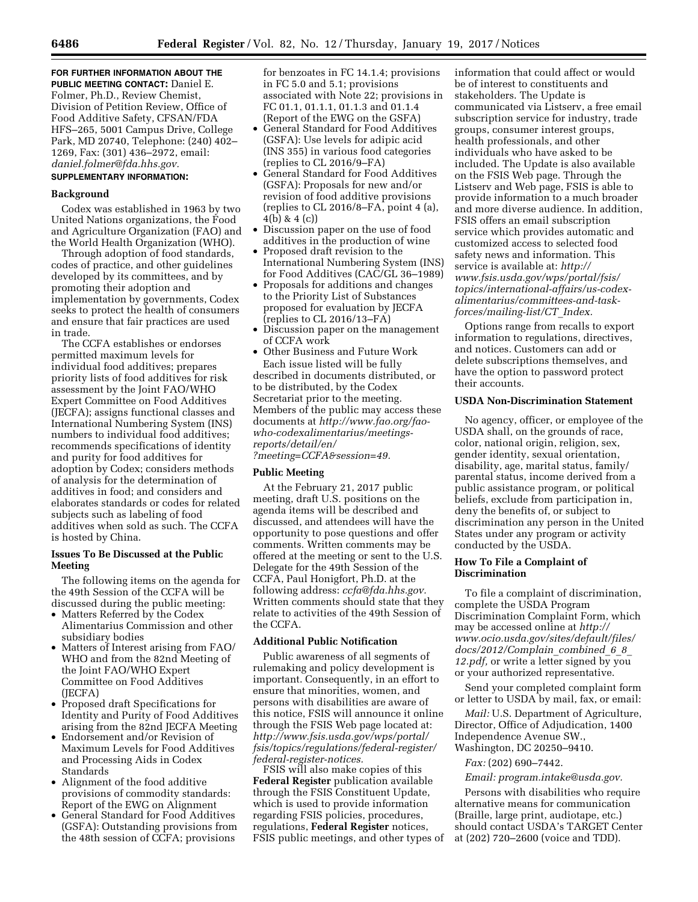#### **FOR FURTHER INFORMATION ABOUT THE PUBLIC MEETING CONTACT:** Daniel E.

Folmer, Ph.D., Review Chemist, Division of Petition Review, Office of Food Additive Safety, CFSAN/FDA HFS–265, 5001 Campus Drive, College Park, MD 20740, Telephone: (240) 402– 1269, Fax: (301) 436–2972, email: *[daniel.folmer@fda.hhs.gov.](mailto:daniel.folmer@fda.hhs.gov)* 

# **SUPPLEMENTARY INFORMATION:**

#### **Background**

Codex was established in 1963 by two United Nations organizations, the Food and Agriculture Organization (FAO) and the World Health Organization (WHO).

Through adoption of food standards, codes of practice, and other guidelines developed by its committees, and by promoting their adoption and implementation by governments, Codex seeks to protect the health of consumers and ensure that fair practices are used in trade.

The CCFA establishes or endorses permitted maximum levels for individual food additives; prepares priority lists of food additives for risk assessment by the Joint FAO/WHO Expert Committee on Food Additives (JECFA); assigns functional classes and International Numbering System (INS) numbers to individual food additives; recommends specifications of identity and purity for food additives for adoption by Codex; considers methods of analysis for the determination of additives in food; and considers and elaborates standards or codes for related subjects such as labeling of food additives when sold as such. The CCFA is hosted by China.

### **Issues To Be Discussed at the Public Meeting**

The following items on the agenda for the 49th Session of the CCFA will be discussed during the public meeting:

- Matters Referred by the Codex Alimentarius Commission and other subsidiary bodies
- Matters of Interest arising from FAO/ WHO and from the 82nd Meeting of the Joint FAO/WHO Expert Committee on Food Additives (JECFA)
- Proposed draft Specifications for Identity and Purity of Food Additives arising from the 82nd JECFA Meeting
- Endorsement and/or Revision of Maximum Levels for Food Additives and Processing Aids in Codex Standards
- Alignment of the food additive provisions of commodity standards: Report of the EWG on Alignment
- General Standard for Food Additives (GSFA): Outstanding provisions from the 48th session of CCFA; provisions

for benzoates in FC 14.1.4; provisions in FC 5.0 and 5.1; provisions associated with Note 22; provisions in FC 01.1, 01.1.1, 01.1.3 and 01.1.4 (Report of the EWG on the GSFA)

- General Standard for Food Additives (GSFA): Use levels for adipic acid (INS 355) in various food categories (replies to CL 2016/9–FA)
- General Standard for Food Additives (GSFA): Proposals for new and/or revision of food additive provisions (replies to CL 2016/8–FA, point 4 (a), 4(b) & 4 (c))
- Discussion paper on the use of food additives in the production of wine
- Proposed draft revision to the International Numbering System (INS) for Food Additives (CAC/GL 36–1989)
- Proposals for additions and changes to the Priority List of Substances proposed for evaluation by JECFA (replies to CL 2016/13–FA)
- Discussion paper on the management of CCFA work
- Other Business and Future Work Each issue listed will be fully described in documents distributed, or to be distributed, by the Codex Secretariat prior to the meeting. Members of the public may access these documents at *[http://www.fao.org/fao](http://www.fao.org/fao-who-codexalimentarius/meetings-reports/detail/en/?meeting=CCFA&session=49)[who-codexalimentarius/meetings](http://www.fao.org/fao-who-codexalimentarius/meetings-reports/detail/en/?meeting=CCFA&session=49)[reports/detail/en/](http://www.fao.org/fao-who-codexalimentarius/meetings-reports/detail/en/?meeting=CCFA&session=49)*

*[?meeting=CCFA&session=49.](http://www.fao.org/fao-who-codexalimentarius/meetings-reports/detail/en/?meeting=CCFA&session=49)* 

# **Public Meeting**

At the February 21, 2017 public meeting, draft U.S. positions on the agenda items will be described and discussed, and attendees will have the opportunity to pose questions and offer comments. Written comments may be offered at the meeting or sent to the U.S. Delegate for the 49th Session of the CCFA, Paul Honigfort, Ph.D. at the following address: *[ccfa@fda.hhs.gov.](mailto:ccfa@fda.hhs.gov)*  Written comments should state that they relate to activities of the 49th Session of the CCFA.

### **Additional Public Notification**

Public awareness of all segments of rulemaking and policy development is important. Consequently, in an effort to ensure that minorities, women, and persons with disabilities are aware of this notice, FSIS will announce it online through the FSIS Web page located at: *[http://www.fsis.usda.gov/wps/portal/](http://www.fsis.usda.gov/wps/portal/fsis/topics/regulations/federal-register/federal-register-notices) [fsis/topics/regulations/federal-register/](http://www.fsis.usda.gov/wps/portal/fsis/topics/regulations/federal-register/federal-register-notices)  [federal-register-notices.](http://www.fsis.usda.gov/wps/portal/fsis/topics/regulations/federal-register/federal-register-notices)* 

FSIS will also make copies of this **Federal Register** publication available through the FSIS Constituent Update, which is used to provide information regarding FSIS policies, procedures, regulations, **Federal Register** notices, FSIS public meetings, and other types of information that could affect or would be of interest to constituents and stakeholders. The Update is communicated via Listserv, a free email subscription service for industry, trade groups, consumer interest groups, health professionals, and other individuals who have asked to be included. The Update is also available on the FSIS Web page. Through the Listserv and Web page, FSIS is able to provide information to a much broader and more diverse audience. In addition, FSIS offers an email subscription service which provides automatic and customized access to selected food safety news and information. This service is available at: *[http://](http://www.fsis.usda.gov/wps/portal/fsis/topics/international-affairs/us-codex-alimentarius/committees-and-task-forces/mailing-list/CT_Index) www.fsis.usda.gov/wps/portal/fsis/ [topics/international-affairs/us-codex](http://www.fsis.usda.gov/wps/portal/fsis/topics/international-affairs/us-codex-alimentarius/committees-and-task-forces/mailing-list/CT_Index)alimentarius/committees-and-taskforces/mailing-list/CT*\_*Index.* 

Options range from recalls to export information to regulations, directives, and notices. Customers can add or delete subscriptions themselves, and have the option to password protect their accounts.

# **USDA Non-Discrimination Statement**

No agency, officer, or employee of the USDA shall, on the grounds of race, color, national origin, religion, sex, gender identity, sexual orientation, disability, age, marital status, family/ parental status, income derived from a public assistance program, or political beliefs, exclude from participation in, deny the benefits of, or subject to discrimination any person in the United States under any program or activity conducted by the USDA.

# **How To File a Complaint of Discrimination**

To file a complaint of discrimination, complete the USDA Program Discrimination Complaint Form, which may be accessed online at *[http://](http://www.ocio.usda.gov/sites/default/files/docs/2012/Complain_combined_6_8_12.pdf) [www.ocio.usda.gov/sites/default/files/](http://www.ocio.usda.gov/sites/default/files/docs/2012/Complain_combined_6_8_12.pdf) [docs/2012/Complain](http://www.ocio.usda.gov/sites/default/files/docs/2012/Complain_combined_6_8_12.pdf)*\_*combined*\_*6*\_*8*\_ *[12.pdf,](http://www.ocio.usda.gov/sites/default/files/docs/2012/Complain_combined_6_8_12.pdf)* or write a letter signed by you or your authorized representative.

Send your completed complaint form or letter to USDA by mail, fax, or email:

*Mail:* U.S. Department of Agriculture, Director, Office of Adjudication, 1400 Independence Avenue SW., Washington, DC 20250–9410.

*Fax:* (202) 690–7442.

*Email: [program.intake@usda.gov.](mailto:program.intake@usda.gov)* 

Persons with disabilities who require alternative means for communication (Braille, large print, audiotape, etc.) should contact USDA's TARGET Center at (202) 720–2600 (voice and TDD).